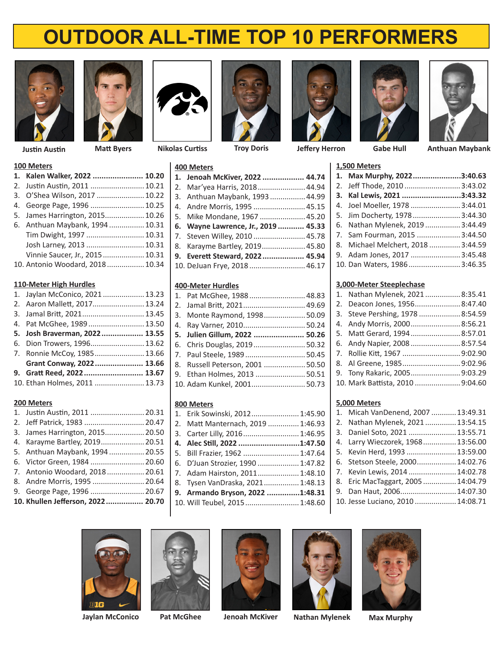# **OUTDOOR ALL-TIME TOP 10 PERFORMERS**





**Nikolas Curtiss Justin Austin Matt Byers Troy Doris**

### **100 Meters**

| 1. Kalen Walker, 2022  10.20     |  |
|----------------------------------|--|
| 2. Justin Austin, 2011  10.21    |  |
| 3. O'Shea Wilson, 2017  10.22    |  |
| 4. George Page, 1996  10.25      |  |
| 5. James Harrington, 2015 10.26  |  |
| 6. Anthuan Maybank, 1994  10.31  |  |
| Tim Dwight, 1997  10.31          |  |
| Josh Larney, 2013  10.31         |  |
| Vinnie Saucer, Jr., 2015 10.31   |  |
| 10. Antonio Woodard, 2018  10.34 |  |

### **110‑Meter High Hurdles**

| 1. Jaylan McConico, 2021 13.23 |  |
|--------------------------------|--|
| 2. Aaron Mallett, 2017 13.24   |  |
| 3. Jamal Britt, 2021 13.45     |  |
| 4. Pat McGhee, 1989 13.50      |  |
| 5. Josh Braverman, 2022 13.55  |  |
| 6. Dion Trowers, 1996 13.62    |  |
| 7. Ronnie McCoy, 1985 13.66    |  |
| Grant Conway, 2022 13.66       |  |
| 9. Gratt Reed, 2022 13.67      |  |
| 10. Ethan Holmes, 2011  13.73  |  |
|                                |  |

# **200 Meters**

| 1. Justin Austin, 2011  20.31     |  |
|-----------------------------------|--|
| 2. Jeff Patrick, 1983  20.47      |  |
| 3. James Harrington, 2015 20.50   |  |
| 4. Karayme Bartley, 2019 20.51    |  |
| 5. Anthuan Maybank, 1994  20.55   |  |
| 6. Victor Green, 1984  20.60      |  |
| 7. Antonio Woodard, 2018 20.61    |  |
| 8. Andre Morris, 1995  20.64      |  |
| 9. George Page, 1996  20.67       |  |
| 10. Khullen Jefferson, 2022 20.70 |  |
|                                   |  |





# **400 Meters**

| 1. Jenoah McKiver, 2022  44.74      |  |
|-------------------------------------|--|
| 2. Mar'yea Harris, 2018 44.94       |  |
| 3. Anthuan Maybank, 1993 44.99      |  |
| 4. Andre Morris, 1995  45.15        |  |
| 5. Mike Mondane, 1967  45.20        |  |
| 6. Wayne Lawrence, Jr., 2019  45.33 |  |
| 7. Steven Willey, 2010  45.78       |  |
| 8. Karayme Bartley, 2019 45.80      |  |
| 9. Everett Steward, 2022 45.94      |  |
| 10. DeJuan Frye, 2018 46.17         |  |
|                                     |  |

### **400‑Meter Hurdles**

| 1. Pat McGhee, 1988 48.83        |  |
|----------------------------------|--|
| 2. Jamal Britt, 2021 49.69       |  |
| 3. Monte Raymond, 1998 50.09     |  |
| 4. Ray Varner, 2010 50.24        |  |
| 5. Julien Gillum, 2022  50.26    |  |
| 6. Chris Douglas, 201950.32      |  |
| 7. Paul Steele, 1989 50.45       |  |
| 8. Russell Peterson, 2001  50.50 |  |
| 9. Ethan Holmes, 2013  50.51     |  |
| 10. Adam Kunkel, 2001 50.73      |  |
|                                  |  |

## **800 Meters**

| 1. Erik Sowinski, 2012 1:45.90    |  |
|-----------------------------------|--|
| 2. Matt Manternach, 2019  1:46.93 |  |
| 3. Carter Lilly, 2016 1:46.95     |  |
| 4. Alec Still, 2022 1:47.50       |  |
| 5. Bill Frazier, 1962  1:47.64    |  |
| 6. D'Juan Strozier, 1990  1:47.82 |  |
| 7. Adam Hairston, 2011 1:48.10    |  |
| 8. Tysen VanDraska, 2021 1:48.13  |  |
| 9. Armando Bryson, 2022 1:48.31   |  |
| 10. Will Teubel, 2015 1:48.60     |  |
|                                   |  |



**Jeffery Herron Gabe Hull**





**Anthuan Maybank**

| 1,500 Meters |                                    |  |
|--------------|------------------------------------|--|
|              | 1. Max Murphy, 20223:40.63         |  |
|              | 2. Jeff Thode, 2010  3:43.02       |  |
|              | 3. Kal Lewis, 2021 3:43.32         |  |
|              | 4. Joel Moeller, 1978  3:44.01     |  |
|              | 5. Jim Docherty, 19783:44.30       |  |
|              | 6. Nathan Mylenek, 20193:44.49     |  |
|              | 7. Sam Fourman, 2015  3:44.50      |  |
|              | 8. Michael Melchert, 2018  3:44.59 |  |
|              | 9. Adam Jones, 2017  3:45.48       |  |
|              | 10. Dan Waters, 1986 3:46.35       |  |
|              |                                    |  |

# **3,000‑Meter Steeplechase**

| 1. Nathan Mylenek, 2021  8:35.41 |  |
|----------------------------------|--|
| 2. Deacon Jones, 1956 8:47.40    |  |
| 3. Steve Pershing, 1978  8:54.59 |  |
| 4. Andy Morris, 20008:56.21      |  |
| 5. Matt Gerard, 1994 8:57.01     |  |
| 6. Andy Napier, 2008  8:57.54    |  |
| 7. Rollie Kitt, 1967 9:02.90     |  |
| 8. Al Greene, 19859:02.96        |  |
| 9. Tony Rakaric, 20059:03.29     |  |
| 10. Mark Battista, 2010 9:04.60  |  |
|                                  |  |

# **5,000 Meters**

| 1. Micah VanDenend, 2007  13:49.31 |  |
|------------------------------------|--|
| 2. Nathan Mylenek, 2021 13:54.15   |  |
| 3. Daniel Soto, 2021  13:55.71     |  |
| 4. Larry Wieczorek, 1968 13:56.00  |  |
| 5. Kevin Herd, 1993  13:59.00      |  |
| 6. Stetson Steele, 2000 14:02.76   |  |
| 7. Kevin Lewis, 2014  14:02.78     |  |
| 8. Eric MacTaggart, 2005  14:04.79 |  |
| 9. Dan Haut, 2006 14:07.30         |  |
| 10. Jesse Luciano, 2010  14:08.71  |  |





**Jaylan McConico**







Pat McGhee Jenoah McKiver Nathan Mylenek Max Murphy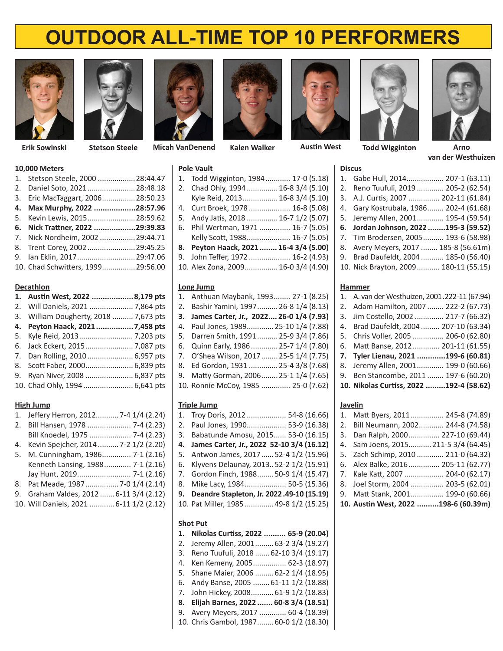# **OUTDOOR ALL-TIME TOP 10 PERFORMERS**





**Stetson Steele**

**Erik Sowinski Micah VanDenend Kalen Walker Austin West**

## **10,000 Meters**

| 1. Stetson Steele, 2000  28:44.47 |  |
|-----------------------------------|--|
| 2. Daniel Soto, 2021 28:48.18     |  |
| 3. Eric MacTaggart, 2006 28:50.23 |  |
| 4. Max Murphy, 2022 28:57.96      |  |
| 5. Kevin Lewis, 2015 28:59.62     |  |
| 6. Nick Trattner, 2022 29:39.83   |  |
| 7. Nick Nordheim, 2002  29:44.71  |  |
| 8. Trent Corey, 2002  29:45.25    |  |
| 9. Ian Eklin, 2017 29:47.06       |  |
|                                   |  |

10. Chad Schwitters, 1999................29:56.00

### **Decathlon**

| 1. Austin West, 2022 8,179 pts        |  |
|---------------------------------------|--|
| 2. Will Daniels, 2021  7,864 pts      |  |
| 3. William Dougherty, 2018  7,673 pts |  |
|                                       |  |
|                                       |  |
|                                       |  |
| 7. Dan Rolling, 2010  6,957 pts       |  |
| 8. Scott Faber, 2000 6,839 pts        |  |
| 9. Ryan Niver, 2008  6,837 pts        |  |
| 10. Chad Ohly, 1994  6,641 pts        |  |
|                                       |  |

## **High Jump**

| 2. Bill Hansen, 1978  7-4 (2.23)           |  |
|--------------------------------------------|--|
|                                            |  |
| Bill Knoedel, 1975  7-4 (2.23)             |  |
| Kevin Spejcher, 2014  7-2 1/2 (2.20)<br>4. |  |
| 5. M. Cunningham, 1986 7-1 (2.16)          |  |
| Kenneth Lansing, 1988 7-1 (2.16)           |  |
| Jay Hunt, 2019 7-1 (2.16)                  |  |
| 8. Pat Meade, 1987  7-0 1/4 (2.14)         |  |
| 9. Graham Valdes, 2012  6-11 3/4 (2.12)    |  |
| 10. Will Daniels, 2021  6-11 1/2 (2.12)    |  |



### **Pole Vault**

**Long Jump**

**Triple Jump**



1. Todd Wigginton, 1984............ 17‑0 (5.18) 2. Chad Ohly, 1994 ............... 16‑8 3/4 (5.10) Kyle Reid, 2013................. 16-8 3/4 (5.10) 4. Curt Broek, 1978 .................... 16‑8 (5.08) 5. Andy Jatis, 2018 ............... 16-7 1/2 (5.07) 6. Phil Wertman, 1971 ............... 16‑7 (5.05) Kelly Scott, 1988..................... 16‑7 (5.05) **8. Peyton Haack, 2021........ 16-4 3/4 (5.00)** 9. John Teffer, 1972 .................... 16-2 (4.93) 10. Alex Zona, 2009................ 16-0 3/4 (4.90)

1. Anthuan Maybank, 1993........ 27‑1 (8.25) 2. Bashir Yamini, 1997.......... 26-8 1/4 (8.13) **3. James Carter, Jr., 2022.... 26-0 1/4 (7.93)** 4. Paul Jones, 1989............. 25‑10 1/4 (7.88) 5. Darren Smith, 1991.......... 25‑9 3/4 (7.86) 6. Quinn Early, 1986............. 25‑7 1/4 (7.80) 7. O'Shea Wilson, 2017........ 25-5 1/4 (7.75) 8. Ed Gordon, 1931 .............. 25‑4 3/8 (7.68) 9. Matty Gorman, 2006........ 25-1 1/4 (7.65) 10. Ronnie McCoy, 1985 .............. 25‑0 (7.62)

1. Troy Doris, 2012 ................... 54-8 (16.66) 2. Paul Jones, 1990................... 53-9 (16.38) 3. Babatunde Amosu, 2015...... 53-0 (16.15) **4. James Carter, Jr., 2022 52-10 3/4 (16.12)** 5. Antwon James, 2017......52-4 1/2 (15.96) 6. Klyvens Delaunay, 2013..52-2 1/2 (15.91) 7. Gordon Finch, 1988........50‑9 1/4 (15.47) 8. Mike Lacy, 1984..................... 50-5 (15.36) **9. Deandre Stapleton, Jr. 2022.49-10 (15.19)** 10. Pat Miller, 1985 ............. 49-8 1/2 (15.25)







**Todd Wigginton Arno van der Westhuizen**

|  | <b>Discus</b>                          |
|--|----------------------------------------|
|  | 1. Gabe Hull, 2014 207-1 (63.11)       |
|  | 2. Reno Tuufuli, 2019  205-2 (62.54)   |
|  | 3. A.J. Curtis, 2007  202-11 (61.84)   |
|  | 4. Gary Kostrubala, 1986 202-4 (61.68) |
|  | 5. Jeremy Allen, 2001 195-4 (59.54)    |
|  | 6. Jordan Johnson, 2022 195-3 (59.52)  |
|  | 7. Tim Brodersen, 2005 193-6 (58.98)   |
|  | 8. Avery Meyers, 2017  185-8 (56.61m)  |
|  | 9. Brad Daufeldt, 2004  185-0 (56.40)  |
|  | 10. Nick Brayton, 2009 180-11 (55.15)  |
|  |                                        |

### **Hammer**

| 1. A. van der Westhuizen, 2001.222-11 (67.94) |  |
|-----------------------------------------------|--|
| 2. Adam Hamilton, 2007  222-2 (67.73)         |  |
| 3. Jim Costello, 2002  217-7 (66.32)          |  |
| 4. Brad Daufeldt, 2004  207-10 (63.34)        |  |
| 5. Chris Voller, 2005  206-0 (62.80)          |  |
| 6. Matt Banse, 2012  201-11 (61.55)           |  |
| 7. Tyler Lienau, 2021 199-6 (60.81)           |  |
| 8. Jeremy Allen, 2001 199-0 (60.66)           |  |
| 9. Ben Stancombe, 2011  197-6 (60.20)         |  |
| 10. Nikolas Curtiss, 2022 192-4 (58.62)       |  |
|                                               |  |

### **Javelin**

| 1. |                                      | Matt Byers, 2011 245-8 (74.89) |
|----|--------------------------------------|--------------------------------|
|    | 2. Bill Neumann, 2002 244-8 (74.58)  |                                |
|    | 3. Dan Ralph, 2000 227-10 (69.44)    |                                |
|    | 4. Sam Joens, 2015 211-5 3/4 (64.45) |                                |
|    | 5. Zach Schimp, 2010  211-0 (64.32)  |                                |
|    | 6. Alex Balke, 2016  205-11 (62.77)  |                                |
|    | 7. Kale Katt, 2007  204-0 (62.17)    |                                |
|    | 8. Joel Storm, 2004  203-5 (62.01)   |                                |
|    | 9. Matt Stank, 2001 199-0 (60.66)    |                                |
|    | 10. Austin West, 2022 198-6 (60.39m) |                                |

### **Shot Put**

- **1. Nikolas Curtiss, 2022 .......... 65-9 (20.04)**
- 2. Jeremy Allen, 2001......... 63-2 3/4 (19.27) 3. Reno Tuufuli, 2018 .......62-10 3/4 (19.17)
- 4. Ken Kemeny, 2005................ 62-3 (18.97) 5. Shane Maier, 2006 .........62-2 1/4 (18.95)
- 6. Andy Banse, 2005 ........61-11 1/2 (18.88)
- 7. John Hickey, 2008........... 61-9 1/2 (18.83)
- **8. Elijah Barnes, 2022 ....... 60-8 3/4 (18.51)**
- 9. Avery Meyers, 2017 ............. 60-4 (18.39)
- 10. Chris Gambol, 1987........60‑0 1/2 (18.30)